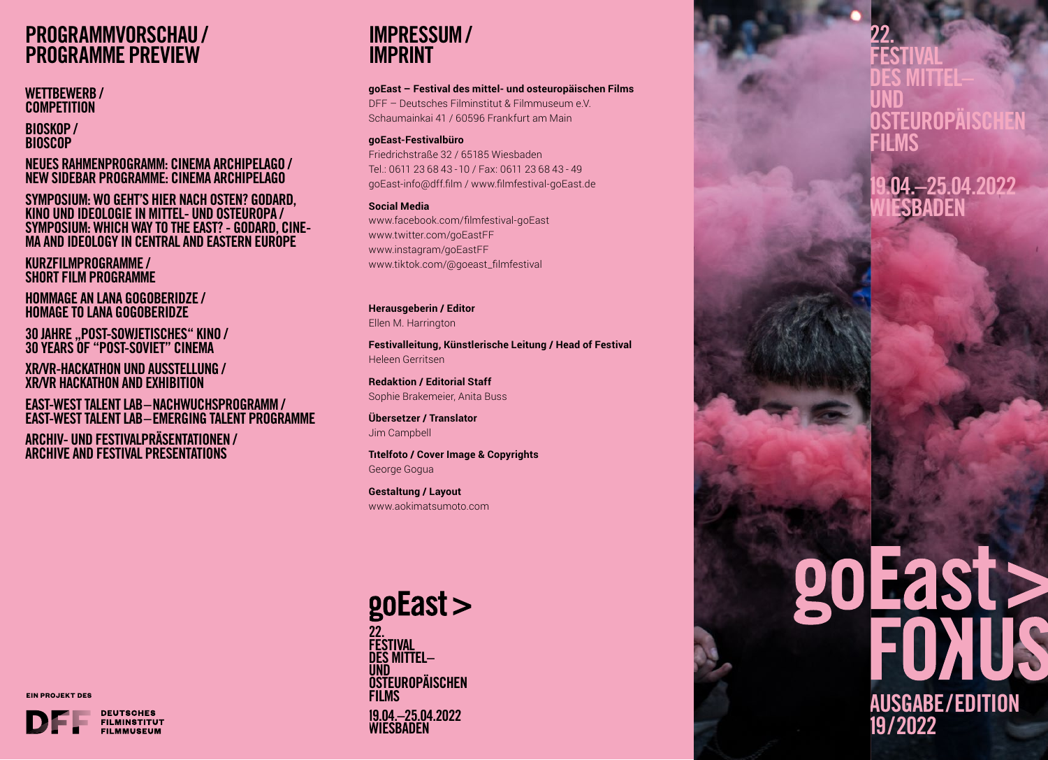# **PROGRAMMVORSCHAU / PROGRAMME PREVIEW**

#### WETTBEWERB / **COMPETITION**

BIOSKOP / **BIOSCOP** 

NEUES RAHMENPROGRAMM: CINEMA ARCHIPELAGO / NEW SIDEBAR PROGRAMME: CINEMA ARCHIPELAGO

SYMPOSIUM: WO GEHT'S HIER NACH OSTEN? GODARD, KINO UND IDEOLOGIE IN MITTEL- UND OSTEUROPA / SYMPOSIUM: WHICH WAY TO THE EAST? - GODARD, CINE-MA AND IDEOLOGY IN CENTRAL AND EASTERN EUROPE

KURZFILMPROGRAMME / SHORT FILM PROGRAMME

HOMMAGE AN LANA GOGOBERIDZE / HOMAGE TO LANA GOGOBERIDZE

30 JAHRE "POST-SOWJETISCHES" KINO / 30 YEARS OF "POST-SOVIET" CINEMA

XR/VR-HACKATHON UND AUSSTELLUNG / XR/VR HACKATHON AND EXHIBITION

EAST-WEST TALENT LAB–NACHWUCHSPROGRAMM / EAST-WEST TALENT LAB–EMERGING TALENT PROGRAMME

ARCHIV- UND FESTIVALPRÄSENTATIONEN / ARCHIVE AND FESTIVAL PRESENTATIONS

**IMPRESSUM / IMPRINT**

**goEast – Festival des mittel- und osteuropäischen Films**

DFF – Deutsches Filminstitut & Filmmuseum e.V.Schaumainkai 41 / 60596 Frankfurt am Main

#### **goEast-Festivalbüro**

Friedrichstraße 32 / 65185 WiesbadenTel.: 0611 23 68 43 - 10 / Fax: 0611 23 68 43 - 49goEast-info@dff.film / www.filmfestival-goEast.de

**Social Media**www.facebook.com/filmfestival-goEast www.twitter.com/goEastFF www.instagram/goEastFF www.tiktok.com/@goeast\_filmfestival

**Herausgeberin / Editor** Ellen M. Harrington

**Festivalleitung, Künstlerische Leitung / Head of Festival** Heleen Gerritsen

**Redaktion / Editorial Staff** Sophie Brakemeier, Anita Buss

**Übersetzer / Translator** Jim Campbell

**Tıtelfoto / Cover Image & Copyrights** George Gogua

**Gestaltung / Layout** www.aokimatsumoto.com

**EIN PROJEKT DES**



## $g$ oEast $>$ 22. FESTIVAL DES MITTEL– UND<br>Osteuropäischen **FILMS**

19.04.–25.04.2022 WIESBADEN

### 22. FESTIVAL DES MITTEL–UND DSTEUROPÄISCI FILMS

19.04.–25.04.2022 ESBADEN

# goEast > AUSGABE/EDITION 19/2022